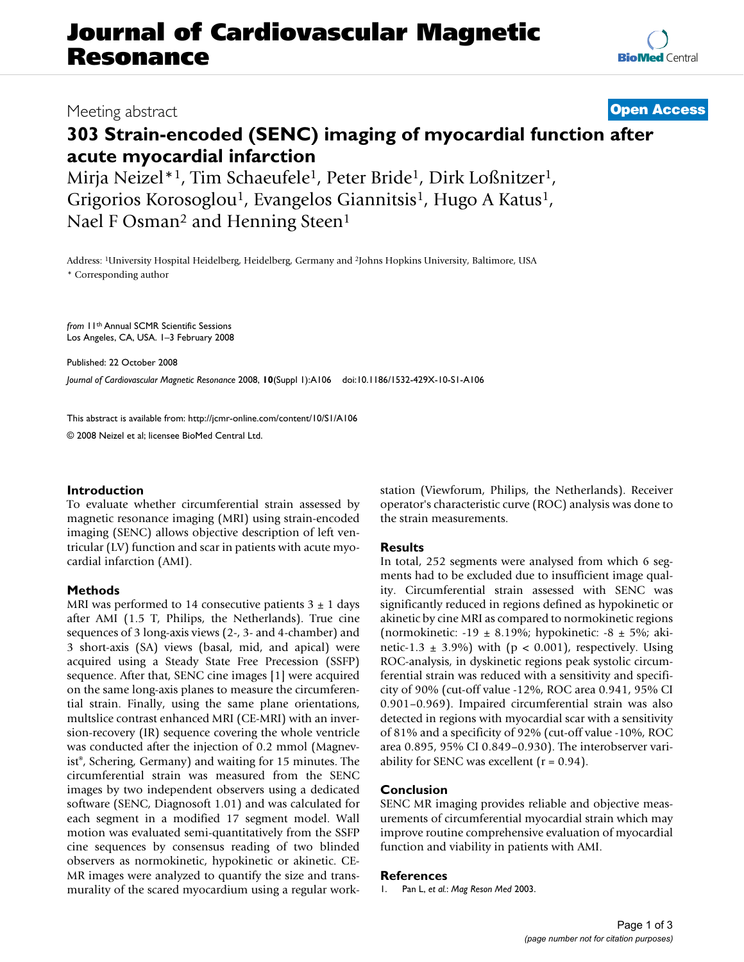# **Journal of Cardiovascular Magnetic Resonance**

# Meeting abstract **[Open Access](http://www.biomedcentral.com/info/about/charter/)**

# **303 Strain-encoded (SENC) imaging of myocardial function after acute myocardial infarction**

Mirja Neizel\*<sup>1</sup>, Tim Schaeufele<sup>1</sup>, Peter Bride<sup>1</sup>, Dirk Loßnitzer<sup>1</sup>, Grigorios Korosoglou<sup>1</sup>, Evangelos Giannitsis<sup>1</sup>, Hugo A Katus<sup>1</sup>, Nael F Osman<sup>2</sup> and Henning Steen<sup>1</sup>

Address: 1University Hospital Heidelberg, Heidelberg, Germany and 2Johns Hopkins University, Baltimore, USA \* Corresponding author

*from* 11th Annual SCMR Scientific Sessions Los Angeles, CA, USA. 1–3 February 2008

Published: 22 October 2008

*Journal of Cardiovascular Magnetic Resonance* 2008, **10**(Suppl 1):A106 doi:10.1186/1532-429X-10-S1-A106

[This abstract is available from: http://jcmr-online.com/content/10/S1/A106](http://jcmr-online.com/content/10/S1/A106)

© 2008 Neizel et al; licensee BioMed Central Ltd.

# **Introduction**

To evaluate whether circumferential strain assessed by magnetic resonance imaging (MRI) using strain-encoded imaging (SENC) allows objective description of left ventricular (LV) function and scar in patients with acute myocardial infarction (AMI).

# **Methods**

MRI was performed to 14 consecutive patients  $3 \pm 1$  days after AMI (1.5 T, Philips, the Netherlands). True cine sequences of 3 long-axis views (2-, 3- and 4-chamber) and 3 short-axis (SA) views (basal, mid, and apical) were acquired using a Steady State Free Precession (SSFP) sequence. After that, SENC cine images [1] were acquired on the same long-axis planes to measure the circumferential strain. Finally, using the same plane orientations, multslice contrast enhanced MRI (CE-MRI) with an inversion-recovery (IR) sequence covering the whole ventricle was conducted after the injection of 0.2 mmol (Magnevist®, Schering, Germany) and waiting for 15 minutes. The circumferential strain was measured from the SENC images by two independent observers using a dedicated software (SENC, Diagnosoft 1.01) and was calculated for each segment in a modified 17 segment model. Wall motion was evaluated semi-quantitatively from the SSFP cine sequences by consensus reading of two blinded observers as normokinetic, hypokinetic or akinetic. CE-MR images were analyzed to quantify the size and transmurality of the scared myocardium using a regular workstation (Viewforum, Philips, the Netherlands). Receiver operator's characteristic curve (ROC) analysis was done to the strain measurements.

#### **Results**

In total, 252 segments were analysed from which 6 segments had to be excluded due to insufficient image quality. Circumferential strain assessed with SENC was significantly reduced in regions defined as hypokinetic or akinetic by cine MRI as compared to normokinetic regions (normokinetic:  $-19 \pm 8.19\%$ ; hypokinetic:  $-8 \pm 5\%$ ; akinetic-1.3  $\pm$  3.9%) with (p < 0.001), respectively. Using ROC-analysis, in dyskinetic regions peak systolic circumferential strain was reduced with a sensitivity and specificity of 90% (cut-off value -12%, ROC area 0.941, 95% CI 0.901–0.969). Impaired circumferential strain was also detected in regions with myocardial scar with a sensitivity of 81% and a specificity of 92% (cut-off value -10%, ROC area 0.895, 95% CI 0.849–0.930). The interobserver variability for SENC was excellent  $(r = 0.94)$ .

# **Conclusion**

SENC MR imaging provides reliable and objective measurements of circumferential myocardial strain which may improve routine comprehensive evaluation of myocardial function and viability in patients with AMI.

### **References**

1. Pan L, *et al.*: *Mag Reson Med* 2003.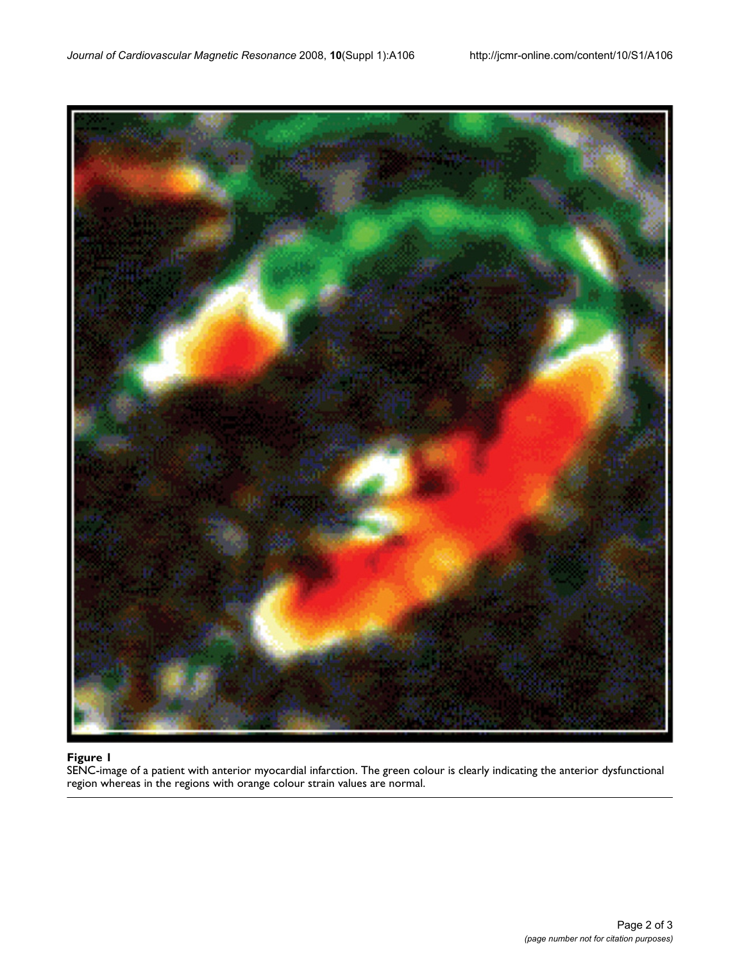

#### $$

SENC-image of a patient with anterior myocardial infarction. The green colour is clearly indicating the anterior dysfunctional region whereas in the regions with orange colour strain values are normal.